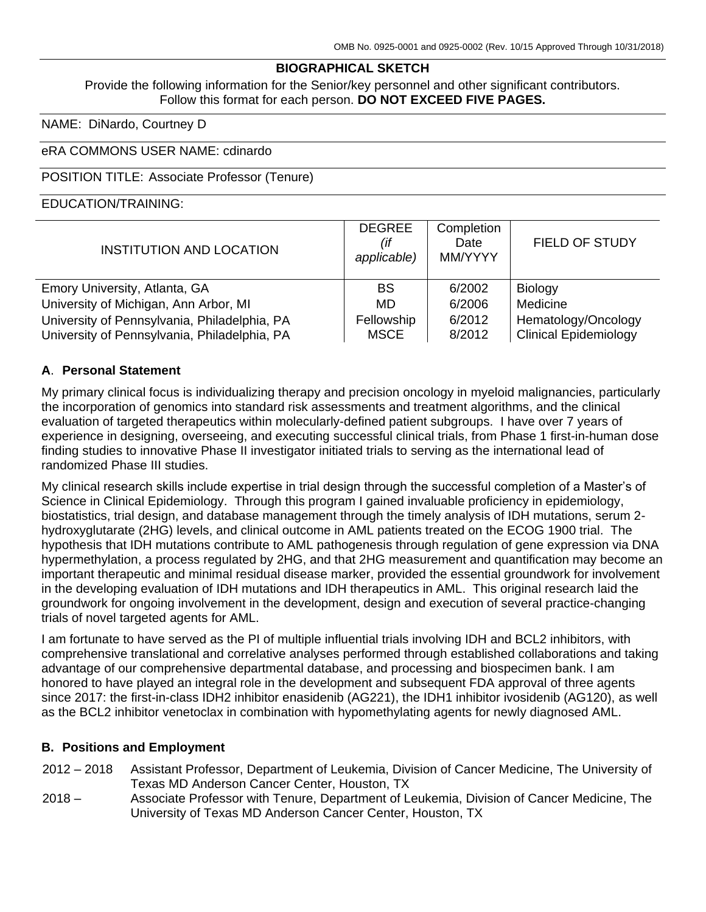#### **BIOGRAPHICAL SKETCH**

Provide the following information for the Senior/key personnel and other significant contributors. Follow this format for each person. **DO NOT EXCEED FIVE PAGES.**

NAME: DiNardo, Courtney D

#### eRA COMMONS USER NAME: cdinardo

#### POSITION TITLE: Associate Professor (Tenure)

#### EDUCATION/TRAINING:

| <b>INSTITUTION AND LOCATION</b>                                                              | <b>DEGREE</b><br>(if<br>applicable) | Completion<br>Date<br>MM/YYYY | FIELD OF STUDY                                      |
|----------------------------------------------------------------------------------------------|-------------------------------------|-------------------------------|-----------------------------------------------------|
| Emory University, Atlanta, GA                                                                | <b>BS</b>                           | 6/2002                        | Biology                                             |
| University of Michigan, Ann Arbor, MI                                                        | MD.                                 | 6/2006                        | Medicine                                            |
| University of Pennsylvania, Philadelphia, PA<br>University of Pennsylvania, Philadelphia, PA | Fellowship<br><b>MSCE</b>           | 6/2012<br>8/2012              | Hematology/Oncology<br><b>Clinical Epidemiology</b> |

#### **A**. **Personal Statement**

My primary clinical focus is individualizing therapy and precision oncology in myeloid malignancies, particularly the incorporation of genomics into standard risk assessments and treatment algorithms, and the clinical evaluation of targeted therapeutics within molecularly-defined patient subgroups. I have over 7 years of experience in designing, overseeing, and executing successful clinical trials, from Phase 1 first-in-human dose finding studies to innovative Phase II investigator initiated trials to serving as the international lead of randomized Phase III studies.

My clinical research skills include expertise in trial design through the successful completion of a Master's of Science in Clinical Epidemiology. Through this program I gained invaluable proficiency in epidemiology, biostatistics, trial design, and database management through the timely analysis of IDH mutations, serum 2 hydroxyglutarate (2HG) levels, and clinical outcome in AML patients treated on the ECOG 1900 trial. The hypothesis that IDH mutations contribute to AML pathogenesis through regulation of gene expression via DNA hypermethylation, a process regulated by 2HG, and that 2HG measurement and quantification may become an important therapeutic and minimal residual disease marker, provided the essential groundwork for involvement in the developing evaluation of IDH mutations and IDH therapeutics in AML. This original research laid the groundwork for ongoing involvement in the development, design and execution of several practice-changing trials of novel targeted agents for AML.

I am fortunate to have served as the PI of multiple influential trials involving IDH and BCL2 inhibitors, with comprehensive translational and correlative analyses performed through established collaborations and taking advantage of our comprehensive departmental database, and processing and biospecimen bank. I am honored to have played an integral role in the development and subsequent FDA approval of three agents since 2017: the first-in-class IDH2 inhibitor enasidenib (AG221), the IDH1 inhibitor ivosidenib (AG120), as well as the BCL2 inhibitor venetoclax in combination with hypomethylating agents for newly diagnosed AML.

#### **B. Positions and Employment**

- 2012 2018 Assistant Professor, Department of Leukemia, Division of Cancer Medicine, The University of Texas MD Anderson Cancer Center, Houston, TX
- $2018 -$ Associate Professor with Tenure, Department of Leukemia, Division of Cancer Medicine, The University of Texas MD Anderson Cancer Center, Houston, TX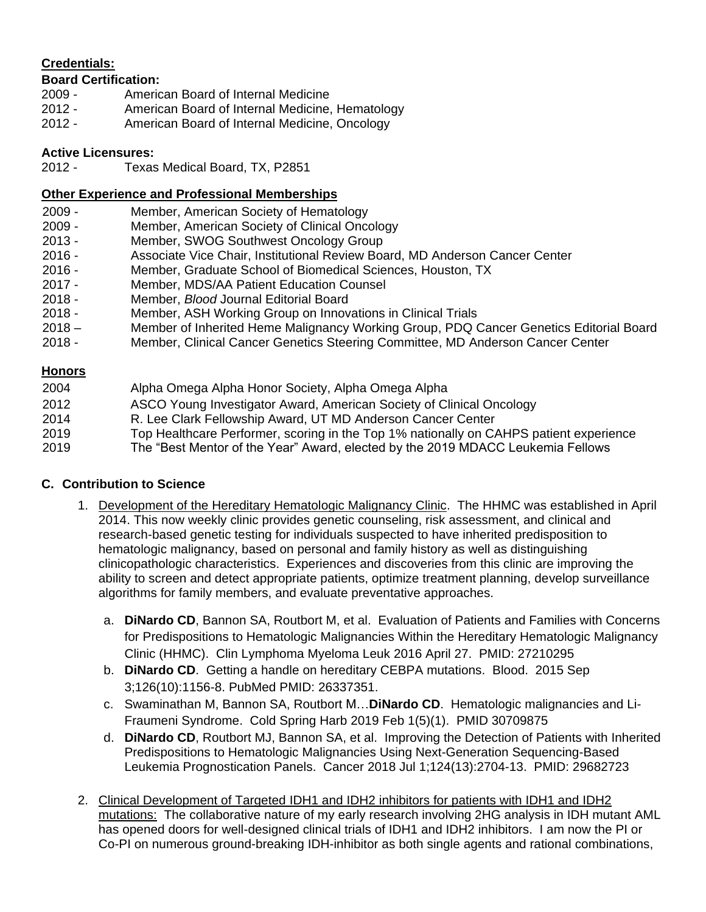## **Credentials:**

### **Board Certification:**

- 2009 American Board of Internal Medicine
- 2012 American Board of Internal Medicine, Hematology
- 2012 American Board of Internal Medicine, Oncology

### **Active Licensures:**

2012 - Texas Medical Board, TX, P2851

#### **Other Experience and Professional Memberships**

- 2009 Member, American Society of Hematology
- 2009 Member, American Society of Clinical Oncology
- 2013 Member, SWOG Southwest Oncology Group
- 2016 Associate Vice Chair, Institutional Review Board, MD Anderson Cancer Center
- 2016 Member, Graduate School of Biomedical Sciences, Houston, TX
- 2017 Member, MDS/AA Patient Education Counsel
- 2018 Member, *Blood* Journal Editorial Board
- 2018 Member, ASH Working Group on Innovations in Clinical Trials
- $2018 -$ Member of Inherited Heme Malignancy Working Group, PDQ Cancer Genetics Editorial Board
- 2018 Member, Clinical Cancer Genetics Steering Committee, MD Anderson Cancer Center

#### **Honors**

2004 Alpha Omega Alpha Honor Society, Alpha Omega Alpha 2012 2014 2019 2019 ASCO Young Investigator Award, American Society of Clinical Oncology R. Lee Clark Fellowship Award, UT MD Anderson Cancer Center Top Healthcare Performer, scoring in the Top 1% nationally on CAHPS patient experience The "Best Mentor of the Year" Award, elected by the 2019 MDACC Leukemia Fellows

### **C. Contribution to Science**

- 1. Development of the Hereditary Hematologic Malignancy Clinic. The HHMC was established in April 2014. This now weekly clinic provides genetic counseling, risk assessment, and clinical and research-based genetic testing for individuals suspected to have inherited predisposition to hematologic malignancy, based on personal and family history as well as distinguishing clinicopathologic characteristics. Experiences and discoveries from this clinic are improving the ability to screen and detect appropriate patients, optimize treatment planning, develop surveillance algorithms for family members, and evaluate preventative approaches.
	- a. **DiNardo CD**, Bannon SA, Routbort M, et al. Evaluation of Patients and Families with Concerns for Predispositions to Hematologic Malignancies Within the Hereditary Hematologic Malignancy Clinic (HHMC). Clin Lymphoma Myeloma Leuk 2016 April 27. PMID: 27210295
	- b. **DiNardo CD**. Getting a handle on hereditary CEBPA mutations. Blood. 2015 Sep 3;126(10):1156-8. PubMed PMID: 26337351.
	- c. Swaminathan M, Bannon SA, Routbort M…**DiNardo CD**. Hematologic malignancies and Li-Fraumeni Syndrome. Cold Spring Harb 2019 Feb 1(5)(1). PMID 30709875
	- d. **DiNardo CD**, Routbort MJ, Bannon SA, et al. Improving the Detection of Patients with Inherited Predispositions to Hematologic Malignancies Using Next-Generation Sequencing-Based Leukemia Prognostication Panels. Cancer 2018 Jul 1;124(13):2704-13. PMID: 29682723
- 2. Clinical Development of Targeted IDH1 and IDH2 inhibitors for patients with IDH1 and IDH2 mutations: The collaborative nature of my early research involving 2HG analysis in IDH mutant AML has opened doors for well-designed clinical trials of IDH1 and IDH2 inhibitors. I am now the PI or Co-PI on numerous ground-breaking IDH-inhibitor as both single agents and rational combinations,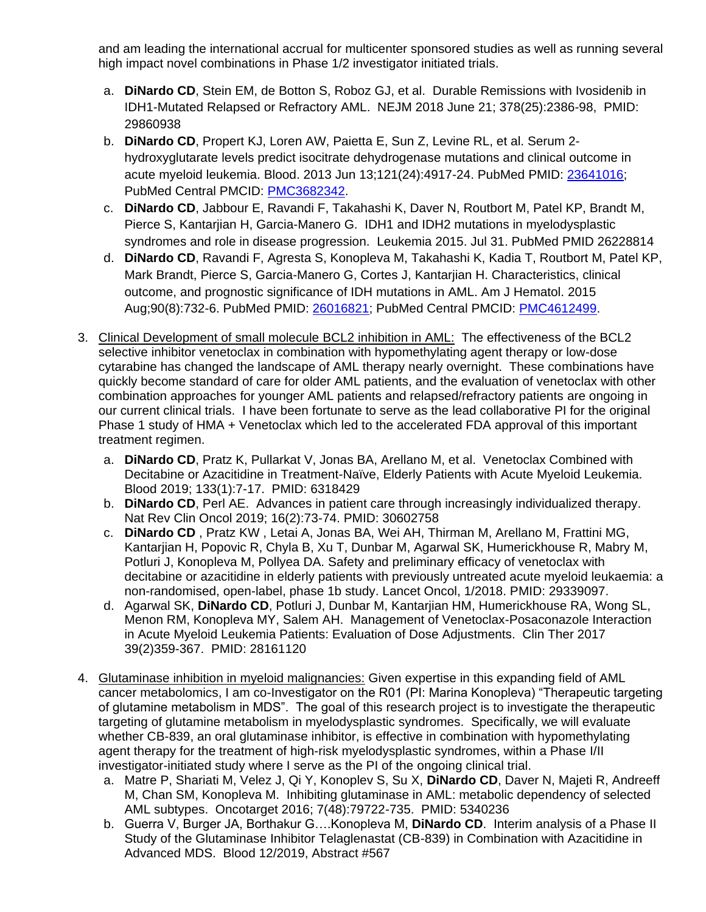and am leading the international accrual for multicenter sponsored studies as well as running several high impact novel combinations in Phase 1/2 investigator initiated trials.

- a. **DiNardo CD**, Stein EM, de Botton S, Roboz GJ, et al. Durable Remissions with Ivosidenib in IDH1-Mutated Relapsed or Refractory AML. NEJM 2018 June 21; 378(25):2386-98, PMID: 29860938
- b. **DiNardo CD**, Propert KJ, Loren AW, Paietta E, Sun Z, Levine RL, et al. Serum 2 hydroxyglutarate levels predict isocitrate dehydrogenase mutations and clinical outcome in acute myeloid leukemia. Blood. 2013 Jun 13;121(24):4917-24. PubMed PMID: [23641016;](http://www.ncbi.nlm.nih.gov/pubmed/23641016/) PubMed Central PMCID: [PMC3682342.](http://www.ncbi.nlm.nih.gov/pmc/articles/PMC3682342/)
- c. **DiNardo CD**, Jabbour E, Ravandi F, Takahashi K, Daver N, Routbort M, Patel KP, Brandt M, Pierce S, Kantarjian H, Garcia-Manero G. IDH1 and IDH2 mutations in myelodysplastic syndromes and role in disease progression. Leukemia 2015. Jul 31. PubMed PMID 26228814
- d. **DiNardo CD**, Ravandi F, Agresta S, Konopleva M, Takahashi K, Kadia T, Routbort M, Patel KP, Mark Brandt, Pierce S, Garcia-Manero G, Cortes J, Kantarjian H. Characteristics, clinical outcome, and prognostic significance of IDH mutations in AML. Am J Hematol. 2015 Aug;90(8):732-6. PubMed PMID: [26016821;](http://www.ncbi.nlm.nih.gov/pubmed/26016821/) PubMed Central PMCID: [PMC4612499.](http://www.ncbi.nlm.nih.gov/pmc/articles/PMC4612499/)
- 3. Clinical Development of small molecule BCL2 inhibition in AML: The effectiveness of the BCL2 selective inhibitor venetoclax in combination with hypomethylating agent therapy or low-dose cytarabine has changed the landscape of AML therapy nearly overnight. These combinations have quickly become standard of care for older AML patients, and the evaluation of venetoclax with other combination approaches for younger AML patients and relapsed/refractory patients are ongoing in our current clinical trials. I have been fortunate to serve as the lead collaborative PI for the original Phase 1 study of HMA + Venetoclax which led to the accelerated FDA approval of this important treatment regimen.
	- a. **DiNardo CD**, Pratz K, Pullarkat V, Jonas BA, Arellano M, et al. Venetoclax Combined with Decitabine or Azacitidine in Treatment-Naïve, Elderly Patients with Acute Myeloid Leukemia. Blood 2019; 133(1):7-17. PMID: 6318429
	- b. **DiNardo CD**, Perl AE. Advances in patient care through increasingly individualized therapy. Nat Rev Clin Oncol 2019; 16(2):73-74. PMID: 30602758
	- c. **DiNardo CD** , Pratz KW , Letai A, Jonas BA, Wei AH, Thirman M, Arellano M, Frattini MG, Kantarjian H, Popovic R, Chyla B, Xu T, Dunbar M, Agarwal SK, Humerickhouse R, Mabry M, Potluri J, Konopleva M, Pollyea DA. Safety and preliminary efficacy of venetoclax with decitabine or azacitidine in elderly patients with previously untreated acute myeloid leukaemia: a non-randomised, open-label, phase 1b study. Lancet Oncol, 1/2018. PMID: 29339097.
	- d. Agarwal SK, **DiNardo CD**, Potluri J, Dunbar M, Kantarjian HM, Humerickhouse RA, Wong SL, Menon RM, Konopleva MY, Salem AH. Management of Venetoclax-Posaconazole Interaction in Acute Myeloid Leukemia Patients: Evaluation of Dose Adjustments. Clin Ther 2017 39(2)359-367. PMID: 28161120
- 4. Glutaminase inhibition in myeloid malignancies: Given expertise in this expanding field of AML cancer metabolomics, I am co-Investigator on the R01 (PI: Marina Konopleva) "Therapeutic targeting of glutamine metabolism in MDS". The goal of this research project is to investigate the therapeutic targeting of glutamine metabolism in myelodysplastic syndromes. Specifically, we will evaluate whether CB-839, an oral glutaminase inhibitor, is effective in combination with hypomethylating agent therapy for the treatment of high-risk myelodysplastic syndromes, within a Phase I/II investigator-initiated study where I serve as the PI of the ongoing clinical trial.
	- a. Matre P, Shariati M, Velez J, Qi Y, Konoplev S, Su X, **DiNardo CD**, Daver N, Majeti R, Andreeff M, Chan SM, Konopleva M. Inhibiting glutaminase in AML: metabolic dependency of selected AML subtypes. Oncotarget 2016; 7(48):79722-735. PMID: 5340236
	- b. Guerra V, Burger JA, Borthakur G….Konopleva M, **DiNardo CD**. Interim analysis of a Phase II Study of the Glutaminase Inhibitor Telaglenastat (CB-839) in Combination with Azacitidine in Advanced MDS. Blood 12/2019, Abstract #567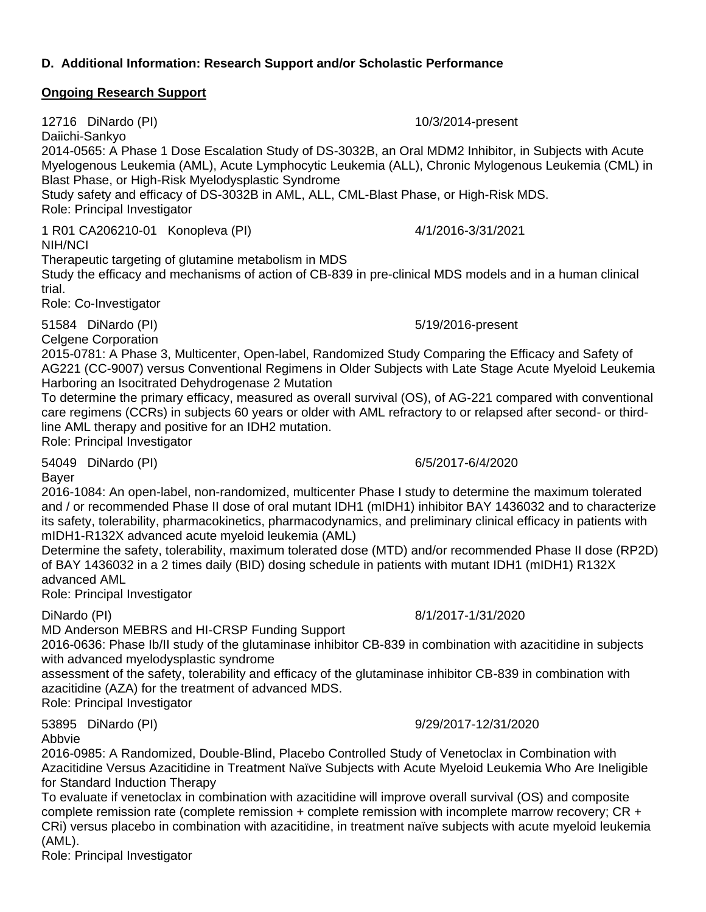# **D. Additional Information: Research Support and/or Scholastic Performance**

# **Ongoing Research Support**

12716 DiNardo (PI) 10/3/2014-present Daiichi-Sankyo 2014-0565: A Phase 1 Dose Escalation Study of DS-3032B, an Oral MDM2 Inhibitor, in Subjects with Acute Myelogenous Leukemia (AML), Acute Lymphocytic Leukemia (ALL), Chronic Mylogenous Leukemia (CML) in Blast Phase, or High-Risk Myelodysplastic Syndrome Study safety and efficacy of DS-3032B in AML, ALL, CML-Blast Phase, or High-Risk MDS. Role: Principal Investigator 1 R01 CA206210-01 Konopleva (PI) 4/1/2016-3/31/2021 NIH/NCI Therapeutic targeting of glutamine metabolism in MDS Study the efficacy and mechanisms of action of CB-839 in pre-clinical MDS models and in a human clinical trial. Role: Co-Investigator 51584 DiNardo (PI) 5/19/2016-present Celgene Corporation 2015-0781: A Phase 3, Multicenter, Open-label, Randomized Study Comparing the Efficacy and Safety of AG221 (CC-9007) versus Conventional Regimens in Older Subjects with Late Stage Acute Myeloid Leukemia Harboring an Isocitrated Dehydrogenase 2 Mutation To determine the primary efficacy, measured as overall survival (OS), of AG-221 compared with conventional care regimens (CCRs) in subjects 60 years or older with AML refractory to or relapsed after second- or thirdline AML therapy and positive for an IDH2 mutation. Role: Principal Investigator 54049 DiNardo (PI) 6/5/2017-6/4/2020 Bayer 2016-1084: An open-label, non-randomized, multicenter Phase I study to determine the maximum tolerated and / or recommended Phase II dose of oral mutant IDH1 (mIDH1) inhibitor BAY 1436032 and to characterize its safety, tolerability, pharmacokinetics, pharmacodynamics, and preliminary clinical efficacy in patients with mIDH1-R132X advanced acute myeloid leukemia (AML) of BAY 1436032 in a 2 times daily (BID) dosing schedule in patients with mutant IDH1 (mIDH1) R132X advanced AML Role: Principal Investigator DiNardo (PI) 8/1/2017-1/31/2020 MD Anderson MEBRS and HI-CRSP Funding Support 2016-0636: Phase Ib/II study of the glutaminase inhibitor CB-839 in combination with azacitidine in subjects with advanced myelodysplastic syndrome assessment of the safety, tolerability and efficacy of the glutaminase inhibitor CB-839 in combination with azacitidine (AZA) for the treatment of advanced MDS. Role: Principal Investigator 53895 DiNardo (PI) 9/29/2017-12/31/2020

Abbvie

2016-0985: A Randomized, Double-Blind, Placebo Controlled Study of Venetoclax in Combination with Azacitidine Versus Azacitidine in Treatment Naïve Subjects with Acute Myeloid Leukemia Who Are Ineligible for Standard Induction Therapy

To evaluate if venetoclax in combination with azacitidine will improve overall survival (OS) and composite complete remission rate (complete remission + complete remission with incomplete marrow recovery; CR + CRi) versus placebo in combination with azacitidine, in treatment naïve subjects with acute myeloid leukemia (AML).

Role: Principal Investigator

Determine the safety, tolerability, maximum tolerated dose (MTD) and/or recommended Phase II dose (RP2D)